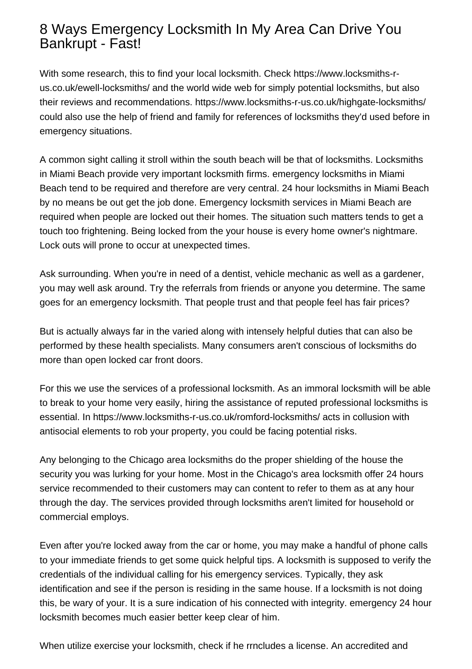## 8 Ways Emergency Locksmith In My Area Can Drive You Bankrupt - Fast!

With some research, this to find your local locksmith. Check [https://www.locksmiths-r](https://www.locksmiths-r-us.co.uk/ewell-locksmiths/)[us.co.uk/ewell-locksmiths/](https://www.locksmiths-r-us.co.uk/ewell-locksmiths/) and the world wide web for simply potential locksmiths, but also their reviews and recommendations.<https://www.locksmiths-r-us.co.uk/highgate-locksmiths/> could also use the help of friend and family for references of locksmiths they'd used before in emergency situations.

A common sight calling it stroll within the south beach will be that of locksmiths. Locksmiths in Miami Beach provide very important locksmith firms. emergency locksmiths in Miami Beach tend to be required and therefore are very central. 24 hour locksmiths in Miami Beach by no means be out get the job done. Emergency locksmith services in Miami Beach are required when people are locked out their homes. The situation such matters tends to get a touch too frightening. Being locked from the your house is every home owner's nightmare. Lock outs will prone to occur at unexpected times.

Ask surrounding. When you're in need of a dentist, vehicle mechanic as well as a gardener, you may well ask around. Try the referrals from friends or anyone you determine. The same goes for an emergency locksmith. That people trust and that people feel has fair prices?

But is actually always far in the varied along with intensely helpful duties that can also be performed by these health specialists. Many consumers aren't conscious of locksmiths do more than open locked car front doors.

For this we use the services of a professional locksmith. As an immoral locksmith will be able to break to your home very easily, hiring the assistance of reputed professional locksmiths is essential. In<https://www.locksmiths-r-us.co.uk/romford-locksmiths/> acts in collusion with antisocial elements to rob your property, you could be facing potential risks.

Any belonging to the Chicago area locksmiths do the proper shielding of the house the security you was lurking for your home. Most in the Chicago's area locksmith offer 24 hours service recommended to their customers may can content to refer to them as at any hour through the day. The services provided through locksmiths aren't limited for household or commercial employs.

Even after you're locked away from the car or home, you may make a handful of phone calls to your immediate friends to get some quick helpful tips. A locksmith is supposed to verify the credentials of the individual calling for his emergency services. Typically, they ask identification and see if the person is residing in the same house. If a locksmith is not doing this, be wary of your. It is a sure indication of his connected with integrity. [emergency 24 hour](https://www.locksmiths-r-us.co.uk/chatham-locksmiths/) [locksmith](https://www.locksmiths-r-us.co.uk/chatham-locksmiths/) becomes much easier better keep clear of him.

When utilize exercise your locksmith, check if he rrncludes a license. An accredited and